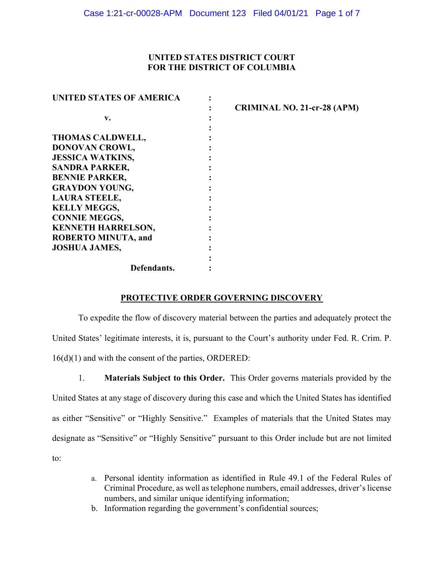### UNITED STATES DISTRICT COURT FOR THE DISTRICT OF COLUMBIA

| <b>UNITED STATES OF AMERICA</b> |                                    |
|---------------------------------|------------------------------------|
|                                 | <b>CRIMINAL NO. 21-cr-28 (APM)</b> |
| v.                              |                                    |
|                                 |                                    |
| <b>THOMAS CALDWELL,</b>         |                                    |
| DONOVAN CROWL,                  |                                    |
| <b>JESSICA WATKINS,</b>         |                                    |
| <b>SANDRA PARKER,</b>           |                                    |
| <b>BENNIE PARKER,</b>           |                                    |
| <b>GRAYDON YOUNG,</b>           |                                    |
| <b>LAURA STEELE,</b>            |                                    |
| <b>KELLY MEGGS,</b>             |                                    |
| <b>CONNIE MEGGS,</b>            |                                    |
| <b>KENNETH HARRELSON,</b>       |                                    |
| <b>ROBERTO MINUTA, and</b>      |                                    |
| <b>JOSHUA JAMES,</b>            |                                    |
|                                 |                                    |
| Defendants.                     |                                    |

### PROTECTIVE ORDER GOVERNING DISCOVERY

To expedite the flow of discovery material between the parties and adequately protect the United States' legitimate interests, it is, pursuant to the Court's authority under Fed. R. Crim. P. 16(d)(1) and with the consent of the parties, ORDERED:

1. Materials Subject to this Order. This Order governs materials provided by the United States at any stage of discovery during this case and which the United States has identified as either "Sensitive" or "Highly Sensitive." Examples of materials that the United States may designate as "Sensitive" or "Highly Sensitive" pursuant to this Order include but are not limited to:

- a. Personal identity information as identified in Rule 49.1 of the Federal Rules of Criminal Procedure, as well as telephone numbers, email addresses, driver's license numbers, and similar unique identifying information;
- b. Information regarding the government's confidential sources;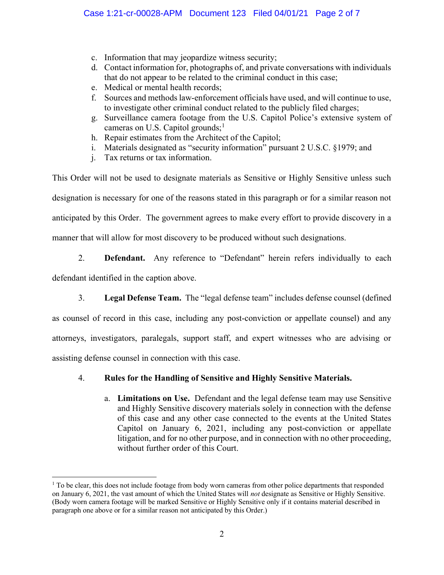- c. Information that may jeopardize witness security;
- d. Contact information for, photographs of, and private conversations with individuals that do not appear to be related to the criminal conduct in this case;
- e. Medical or mental health records;
- f. Sources and methods law-enforcement officials have used, and will continue to use, to investigate other criminal conduct related to the publicly filed charges;
- g. Surveillance camera footage from the U.S. Capitol Police's extensive system of cameras on U.S. Capitol grounds;<sup>1</sup>
- h. Repair estimates from the Architect of the Capitol;
- i. Materials designated as "security information" pursuant  $2$  U.S.C. §1979; and
- j. Tax returns or tax information.

This Order will not be used to designate materials as Sensitive or Highly Sensitive unless such designation is necessary for one of the reasons stated in this paragraph or for a similar reason not anticipated by this Order. The government agrees to make every effort to provide discovery in a manner that will allow for most discovery to be produced without such designations.

## 2. **Defendant.** Any reference to "Defendant" herein refers individually to each

defendant identified in the caption above.

3. Legal Defense Team. The "legal defense team" includes defense counsel (defined

as counsel of record in this case, including any post-conviction or appellate counsel) and any attorneys, investigators, paralegals, support staff, and expert witnesses who are advising or assisting defense counsel in connection with this case.

# 4. Rules for the Handling of Sensitive and Highly Sensitive Materials.

a. Limitations on Use. Defendant and the legal defense team may use Sensitive and Highly Sensitive discovery materials solely in connection with the defense of this case and any other case connected to the events at the United States Capitol on January 6, 2021, including any post-conviction or appellate litigation, and for no other purpose, and in connection with no other proceeding, without further order of this Court.

<sup>&</sup>lt;sup>1</sup> To be clear, this does not include footage from body worn cameras from other police departments that responded on January 6, 2021, the vast amount of which the United States will not designate as Sensitive or Highly Sensitive. (Body worn camera footage will be marked Sensitive or Highly Sensitive only if it contains material described in paragraph one above or for a similar reason not anticipated by this Order.)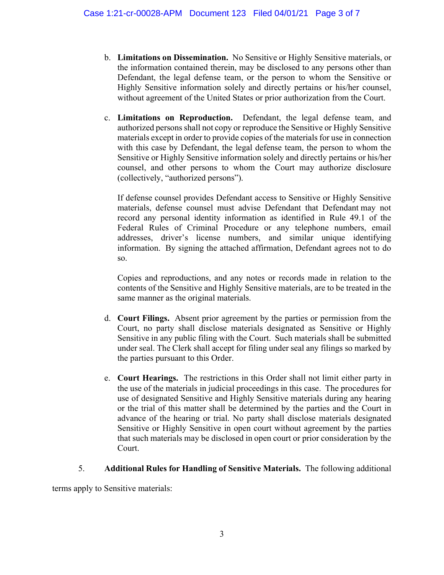- b. Limitations on Dissemination. No Sensitive or Highly Sensitive materials, or the information contained therein, may be disclosed to any persons other than Defendant, the legal defense team, or the person to whom the Sensitive or Highly Sensitive information solely and directly pertains or his/her counsel, without agreement of the United States or prior authorization from the Court.
- c. Limitations on Reproduction. Defendant, the legal defense team, and authorized persons shall not copy or reproduce the Sensitive or Highly Sensitive materials except in order to provide copies of the materials for use in connection with this case by Defendant, the legal defense team, the person to whom the Sensitive or Highly Sensitive information solely and directly pertains or his/her counsel, and other persons to whom the Court may authorize disclosure (collectively, "authorized persons").

If defense counsel provides Defendant access to Sensitive or Highly Sensitive materials, defense counsel must advise Defendant that Defendant may not record any personal identity information as identified in Rule 49.1 of the Federal Rules of Criminal Procedure or any telephone numbers, email addresses, driver's license numbers, and similar unique identifying information. By signing the attached affirmation, Defendant agrees not to do so.

Copies and reproductions, and any notes or records made in relation to the contents of the Sensitive and Highly Sensitive materials, are to be treated in the same manner as the original materials.

- d. Court Filings. Absent prior agreement by the parties or permission from the Court, no party shall disclose materials designated as Sensitive or Highly Sensitive in any public filing with the Court. Such materials shall be submitted under seal. The Clerk shall accept for filing under seal any filings so marked by the parties pursuant to this Order.
- e. Court Hearings. The restrictions in this Order shall not limit either party in the use of the materials in judicial proceedings in this case. The procedures for use of designated Sensitive and Highly Sensitive materials during any hearing or the trial of this matter shall be determined by the parties and the Court in advance of the hearing or trial. No party shall disclose materials designated Sensitive or Highly Sensitive in open court without agreement by the parties that such materials may be disclosed in open court or prior consideration by the Court.

# 5. Additional Rules for Handling of Sensitive Materials. The following additional

terms apply to Sensitive materials: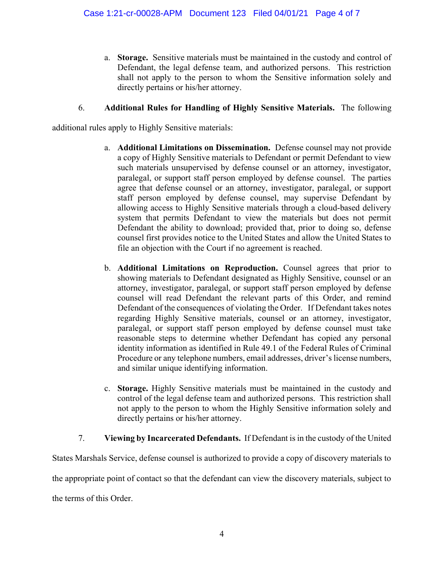a. Storage. Sensitive materials must be maintained in the custody and control of Defendant, the legal defense team, and authorized persons. This restriction shall not apply to the person to whom the Sensitive information solely and directly pertains or his/her attorney.

# 6. Additional Rules for Handling of Highly Sensitive Materials. The following

additional rules apply to Highly Sensitive materials:

- a. Additional Limitations on Dissemination. Defense counsel may not provide a copy of Highly Sensitive materials to Defendant or permit Defendant to view such materials unsupervised by defense counsel or an attorney, investigator, paralegal, or support staff person employed by defense counsel. The parties agree that defense counsel or an attorney, investigator, paralegal, or support staff person employed by defense counsel, may supervise Defendant by allowing access to Highly Sensitive materials through a cloud-based delivery system that permits Defendant to view the materials but does not permit Defendant the ability to download; provided that, prior to doing so, defense counsel first provides notice to the United States and allow the United States to file an objection with the Court if no agreement is reached.
- b. Additional Limitations on Reproduction. Counsel agrees that prior to showing materials to Defendant designated as Highly Sensitive, counsel or an attorney, investigator, paralegal, or support staff person employed by defense counsel will read Defendant the relevant parts of this Order, and remind Defendant of the consequences of violating the Order. If Defendant takes notes regarding Highly Sensitive materials, counsel or an attorney, investigator, paralegal, or support staff person employed by defense counsel must take reasonable steps to determine whether Defendant has copied any personal identity information as identified in Rule 49.1 of the Federal Rules of Criminal Procedure or any telephone numbers, email addresses, driver's license numbers, and similar unique identifying information.
- c. Storage. Highly Sensitive materials must be maintained in the custody and control of the legal defense team and authorized persons. This restriction shall not apply to the person to whom the Highly Sensitive information solely and directly pertains or his/her attorney.
- 7. Viewing by Incarcerated Defendants. If Defendant is in the custody of the United

States Marshals Service, defense counsel is authorized to provide a copy of discovery materials to the appropriate point of contact so that the defendant can view the discovery materials, subject to the terms of this Order.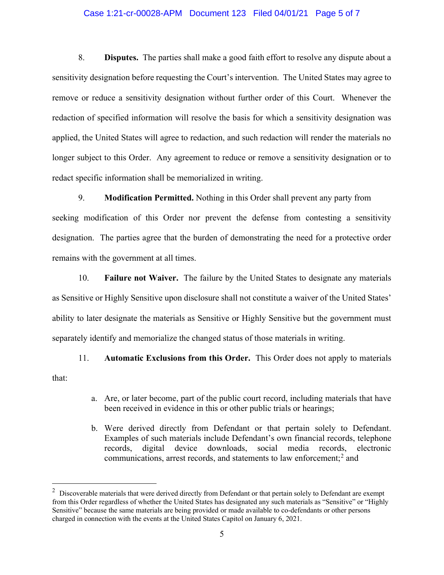#### Case 1:21-cr-00028-APM Document 123 Filed 04/01/21 Page 5 of 7

8. Disputes. The parties shall make a good faith effort to resolve any dispute about a sensitivity designation before requesting the Court's intervention. The United States may agree to remove or reduce a sensitivity designation without further order of this Court. Whenever the redaction of specified information will resolve the basis for which a sensitivity designation was applied, the United States will agree to redaction, and such redaction will render the materials no longer subject to this Order. Any agreement to reduce or remove a sensitivity designation or to redact specific information shall be memorialized in writing.

9. Modification Permitted. Nothing in this Order shall prevent any party from

seeking modification of this Order nor prevent the defense from contesting a sensitivity designation. The parties agree that the burden of demonstrating the need for a protective order remains with the government at all times.

10. Failure not Waiver. The failure by the United States to designate any materials as Sensitive or Highly Sensitive upon disclosure shall not constitute a waiver of the United States ability to later designate the materials as Sensitive or Highly Sensitive but the government must separately identify and memorialize the changed status of those materials in writing.

11. Automatic Exclusions from this Order. This Order does not apply to materials that:

- a. Are, or later become, part of the public court record, including materials that have been received in evidence in this or other public trials or hearings;
- b. Were derived directly from Defendant or that pertain solely to Defendant. Examples of such materials include Defendant's own financial records, telephone records, digital device downloads, social media records, electronic communications, arrest records, and statements to law enforcement; $<sup>2</sup>$  and</sup>

 $2$  Discoverable materials that were derived directly from Defendant or that pertain solely to Defendant are exempt from this Order regardless of whether the United States has designated any such materials as "Sensitive" or "Highly Sensitive" because the same materials are being provided or made available to co-defendants or other persons charged in connection with the events at the United States Capitol on January 6, 2021.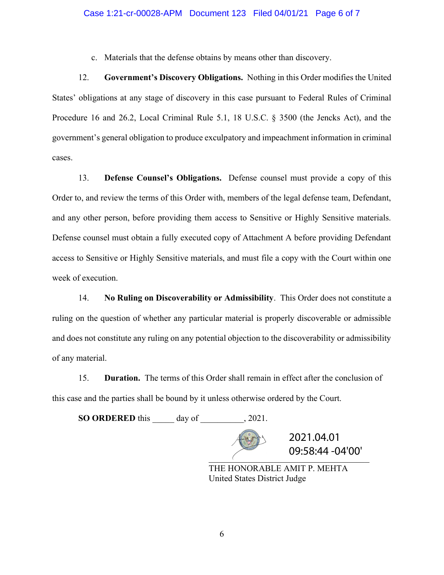#### Case 1:21-cr-00028-APM Document 123 Filed 04/01/21 Page 6 of 7

c. Materials that the defense obtains by means other than discovery.

12. Government's Discovery Obligations. Nothing in this Order modifies the United States' obligations at any stage of discovery in this case pursuant to Federal Rules of Criminal Procedure 16 and 26.2, Local Criminal Rule 5.1, 18 U.S.C. § 3500 (the Jencks Act), and the government's general obligation to produce exculpatory and impeachment information in criminal cases.

13. **Defense Counsel's Obligations.** Defense counsel must provide a copy of this Order to, and review the terms of this Order with, members of the legal defense team, Defendant, and any other person, before providing them access to Sensitive or Highly Sensitive materials. Defense counsel must obtain a fully executed copy of Attachment A before providing Defendant access to Sensitive or Highly Sensitive materials, and must file a copy with the Court within one week of execution.

14. No Ruling on Discoverability or Admissibility. This Order does not constitute a ruling on the question of whether any particular material is properly discoverable or admissible and does not constitute any ruling on any potential objection to the discoverability or admissibility of any material.

15. Duration. The terms of this Order shall remain in effect after the conclusion of this case and the parties shall be bound by it unless otherwise ordered by the Court.

SO ORDERED this day of 2021.

 $09:58:44 - 04'00'$ 2021.04.01

THE HONORABLE AMIT P. MEHTA United States District Judge